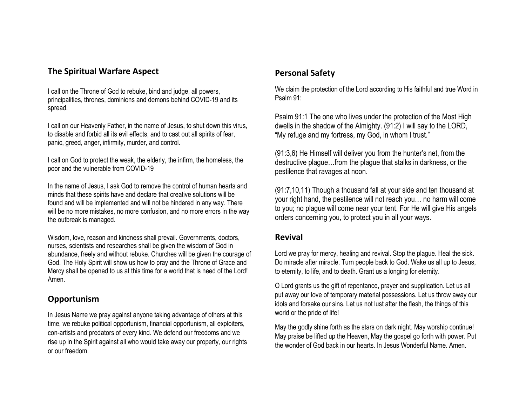### **The Spiritual Warfare Aspect**

I call on the Throne of God to rebuke, bind and judge, all powers, principalities, thrones, dominions and demons behind COVID-19 and its spread.

I call on our Heavenly Father, in the name of Jesus, to shut down this virus, to disable and forbid all its evil effects, and to cast out all spirits of fear, panic, greed, anger, infirmity, murder, and control.

I call on God to protect the weak, the elderly, the infirm, the homeless, the poor and the vulnerable from COVID-19

In the name of Jesus, I ask God to remove the control of human hearts and minds that these spirits have and declare that creative solutions will be found and will be implemented and will not be hindered in any way. There will be no more mistakes, no more confusion, and no more errors in the way the outbreak is managed.

Wisdom, love, reason and kindness shall prevail. Governments, doctors, nurses, scientists and researches shall be given the wisdom of God in abundance, freely and without rebuke. Churches will be given the courage of God. The Holy Spirit will show us how to pray and the Throne of Grace and Mercy shall be opened to us at this time for a world that is need of the Lord! Amen.

#### **Opportunism**

In Jesus Name we pray against anyone taking advantage of others at this time, we rebuke political opportunism, financial opportunism, all exploiters, con-artists and predators of every kind. We defend our freedoms and we rise up in the Spirit against all who would take away our property, our rights or our freedom.

### **Personal Safety**

We claim the protection of the Lord according to His faithful and true Word in Psalm 91:

Psalm 91:1 The one who lives under the protection of the Most High dwells in the shadow of the Almighty. (91:2) I will say to the LORD, "My refuge and my fortress, my God, in whom I trust."

(91:3,6) He Himself will deliver you from the hunter's net, from the destructive plague…from the plague that stalks in darkness, or the pestilence that ravages at noon.

(91:7,10,11) Though a thousand fall at your side and ten thousand at your right hand, the pestilence will not reach you… no harm will come to you; no plague will come near your tent. For He will give His angels orders concerning you, to protect you in all your ways.

#### **Revival**

Lord we pray for mercy, healing and revival. Stop the plague. Heal the sick. Do miracle after miracle. Turn people back to God. Wake us all up to Jesus, to eternity, to life, and to death. Grant us a longing for eternity.

O Lord grants us the gift of repentance, prayer and supplication. Let us all put away our love of temporary material possessions. Let us throw away our idols and forsake our sins. Let us not lust after the flesh, the things of this world or the pride of life!

May the godly shine forth as the stars on dark night. May worship continue! May praise be lifted up the Heaven, May the gospel go forth with power. Put the wonder of God back in our hearts. In Jesus Wonderful Name. Amen.